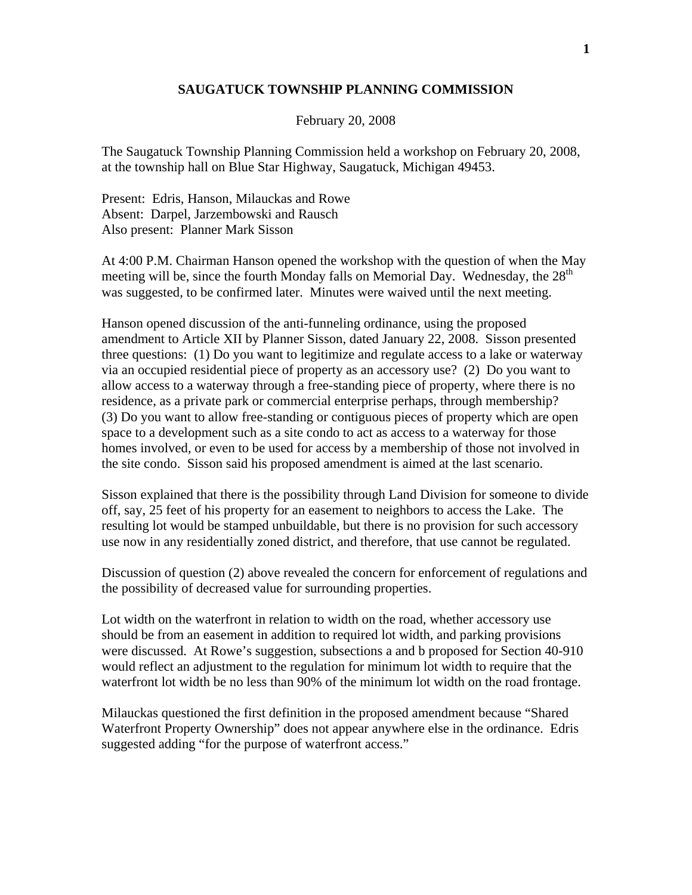## **SAUGATUCK TOWNSHIP PLANNING COMMISSION**

February 20, 2008

The Saugatuck Township Planning Commission held a workshop on February 20, 2008, at the township hall on Blue Star Highway, Saugatuck, Michigan 49453.

Present: Edris, Hanson, Milauckas and Rowe Absent: Darpel, Jarzembowski and Rausch Also present: Planner Mark Sisson

At 4:00 P.M. Chairman Hanson opened the workshop with the question of when the May meeting will be, since the fourth Monday falls on Memorial Day. Wednesday, the  $28<sup>th</sup>$ was suggested, to be confirmed later. Minutes were waived until the next meeting.

Hanson opened discussion of the anti-funneling ordinance, using the proposed amendment to Article XII by Planner Sisson, dated January 22, 2008. Sisson presented three questions: (1) Do you want to legitimize and regulate access to a lake or waterway via an occupied residential piece of property as an accessory use? (2) Do you want to allow access to a waterway through a free-standing piece of property, where there is no residence, as a private park or commercial enterprise perhaps, through membership? (3) Do you want to allow free-standing or contiguous pieces of property which are open space to a development such as a site condo to act as access to a waterway for those homes involved, or even to be used for access by a membership of those not involved in the site condo. Sisson said his proposed amendment is aimed at the last scenario.

Sisson explained that there is the possibility through Land Division for someone to divide off, say, 25 feet of his property for an easement to neighbors to access the Lake. The resulting lot would be stamped unbuildable, but there is no provision for such accessory use now in any residentially zoned district, and therefore, that use cannot be regulated.

Discussion of question (2) above revealed the concern for enforcement of regulations and the possibility of decreased value for surrounding properties.

Lot width on the waterfront in relation to width on the road, whether accessory use should be from an easement in addition to required lot width, and parking provisions were discussed. At Rowe's suggestion, subsections a and b proposed for Section 40-910 would reflect an adjustment to the regulation for minimum lot width to require that the waterfront lot width be no less than 90% of the minimum lot width on the road frontage.

Milauckas questioned the first definition in the proposed amendment because "Shared Waterfront Property Ownership" does not appear anywhere else in the ordinance. Edris suggested adding "for the purpose of waterfront access."